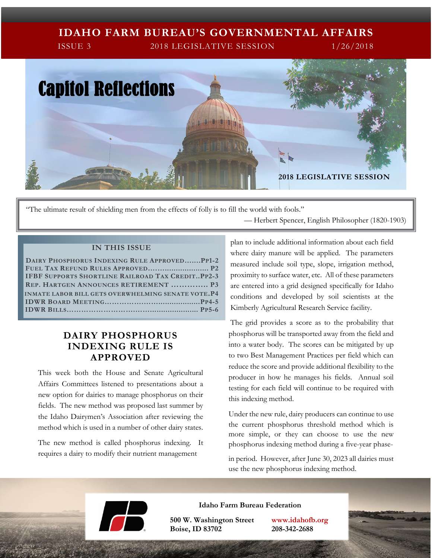# **IDAHO FARM BUREAU'S GOVERNMENTAL AFFAIRS**

ISSUE 3 2018 LEGISLATIVE SESSION 1/26/2018



"The ultimate result of shielding men from the effects of folly is to fill the world with fools." — Herbert Spencer, English Philosopher (1820-1903)

#### **IN THIS ISSUE**

| DAIRY PHOSPHORUS INDEXING RULE APPROVEDPP1-2              |
|-----------------------------------------------------------|
|                                                           |
| <b>IFBF SUPPORTS SHORTLINE RAILROAD TAX CREDITPP2-3</b>   |
| <b>REP. HARTGEN ANNOUNCES RETIREMENT  P3</b>              |
| <b>INMATE LABOR BILL GETS OVERWHELMING SENATE VOTE.P4</b> |
|                                                           |
|                                                           |

# **DAIRY PHOSPHORUS INDEXING RULE IS APPROVED**

This week both the House and Senate Agricultural Affairs Committees listened to presentations about a new option for dairies to manage phosphorus on their fields. The new method was proposed last summer by the Idaho Dairymen's Association after reviewing the method which is used in a number of other dairy states.

The new method is called phosphorus indexing. It requires a dairy to modify their nutrient management

plan to include additional information about each field where dairy manure will be applied. The parameters measured include soil type, slope, irrigation method, proximity to surface water, etc. All of these parameters are entered into a grid designed specifically for Idaho conditions and developed by soil scientists at the Kimberly Agricultural Research Service facility.

The grid provides a score as to the probability that phosphorus will be transported away from the field and into a water body. The scores can be mitigated by up to two Best Management Practices per field which can reduce the score and provide additional flexibility to the producer in how he manages his fields. Annual soil testing for each field will continue to be required with this indexing method.

Under the new rule, dairy producers can continue to use the current phosphorus threshold method which is more simple, or they can choose to use the new phosphorus indexing method during a five-year phase-

in period. However, after June 30, 2023 all dairies must use the new phosphorus indexing method.



**Idaho Farm Bureau Federation**

**500 W. Washington Street www.idahofb.org Boise, ID 83702 208-342-2688**

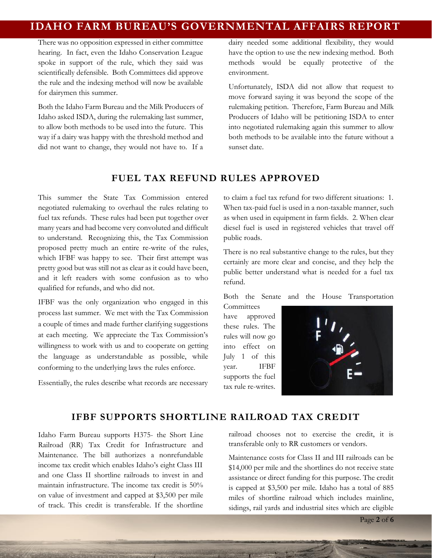# **IDAHO FARM BUREAU'S GOVERNMENTAL AFFAIRS REPORT**

There was no opposition expressed in either committee hearing. In fact, even the Idaho Conservation League spoke in support of the rule, which they said was scientifically defensible. Both Committees did approve the rule and the indexing method will now be available for dairymen this summer.

Both the Idaho Farm Bureau and the Milk Producers of Idaho asked ISDA, during the rulemaking last summer, to allow both methods to be used into the future. This way if a dairy was happy with the threshold method and did not want to change, they would not have to. If a dairy needed some additional flexibility, they would have the option to use the new indexing method. Both methods would be equally protective of the environment.

Unfortunately, ISDA did not allow that request to move forward saying it was beyond the scope of the rulemaking petition. Therefore, Farm Bureau and Milk Producers of Idaho will be petitioning ISDA to enter into negotiated rulemaking again this summer to allow both methods to be available into the future without a sunset date.

## **FUEL TAX REFUND RULES APPROVED**

This summer the State Tax Commission entered negotiated rulemaking to overhaul the rules relating to fuel tax refunds. These rules had been put together over many years and had become very convoluted and difficult to understand. Recognizing this, the Tax Commission proposed pretty much an entire re-write of the rules, which IFBF was happy to see. Their first attempt was pretty good but was still not as clear as it could have been, and it left readers with some confusion as to who qualified for refunds, and who did not.

IFBF was the only organization who engaged in this process last summer. We met with the Tax Commission a couple of times and made further clarifying suggestions at each meeting. We appreciate the Tax Commission's willingness to work with us and to cooperate on getting the language as understandable as possible, while conforming to the underlying laws the rules enforce.

Essentially, the rules describe what records are necessary

to claim a fuel tax refund for two different situations: 1. When tax-paid fuel is used in a non-taxable manner, such as when used in equipment in farm fields. 2. When clear diesel fuel is used in registered vehicles that travel off public roads.

There is no real substantive change to the rules, but they certainly are more clear and concise, and they help the public better understand what is needed for a fuel tax refund.

Both the Senate and the House Transportation

**Committees** have approved these rules. The rules will now go into effect on July 1 of this year. IFBF supports the fuel tax rule re-writes.



#### **IFBF SUPPORTS SHORTLINE RAILROAD TAX CREDIT**

Idaho Farm Bureau supports H375- the Short Line Railroad (RR) Tax Credit for Infrastructure and Maintenance. The bill authorizes a nonrefundable income tax credit which enables Idaho's eight Class III and one Class II shortline railroads to invest in and maintain infrastructure. The income tax credit is 50% on value of investment and capped at \$3,500 per mile of track. This credit is transferable. If the shortline railroad chooses not to exercise the credit, it is transferable only to RR customers or vendors.

Maintenance costs for Class II and III railroads can be \$14,000 per mile and the shortlines do not receive state assistance or direct funding for this purpose. The credit is capped at \$3,500 per mile. Idaho has a total of 885 miles of shortline railroad which includes mainline, sidings, rail yards and industrial sites which are eligible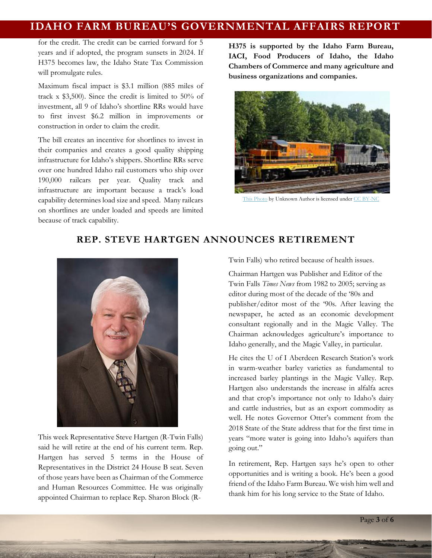# **IDAHO FARM BUREAU'S GOVERNMENTAL AFFAIRS REPORT**

for the credit. The credit can be carried forward for 5 years and if adopted, the program sunsets in 2024. If H375 becomes law, the Idaho State Tax Commission will promulgate rules.

Maximum fiscal impact is \$3.1 million (885 miles of track x \$3,500). Since the credit is limited to 50% of investment, all 9 of Idaho's shortline RRs would have to first invest \$6.2 million in improvements or construction in order to claim the credit.

The bill creates an incentive for shortlines to invest in their companies and creates a good quality shipping infrastructure for Idaho's shippers. Shortline RRs serve over one hundred Idaho rail customers who ship over 190,000 railcars per year. Quality track and infrastructure are important because a track's load capability determines load size and speed. Many railcars on shortlines are under loaded and speeds are limited because of track capability.

**H375 is supported by the Idaho Farm Bureau, IACI, Food Producers of Idaho, the Idaho Chambers of Commerce and many agriculture and business organizations and companies.** 



[This Photo](http://www.flickr.com/photos/brent_nashville/9252574329/) by Unknown Author is licensed unde[r CC BY-NC](https://creativecommons.org/licenses/by-nc/2.0/)

# **REP. STEVE HARTGEN ANNOUNCES RETIREMENT**



This week Representative Steve Hartgen (R-Twin Falls) said he will retire at the end of his current term. Rep. Hartgen has served 5 terms in the House of Representatives in the District 24 House B seat. Seven of those years have been as Chairman of the Commerce and Human Resources Committee. He was originally appointed Chairman to replace Rep. Sharon Block (R-

Twin Falls) who retired because of health issues.

Chairman Hartgen was Publisher and Editor of the Twin Falls *Times News* from 1982 to 2005; serving as editor during most of the decade of the '80s and publisher/editor most of the '90s. After leaving the newspaper, he acted as an economic development consultant regionally and in the Magic Valley. The Chairman acknowledges agriculture's importance to Idaho generally, and the Magic Valley, in particular.

He cites the U of I Aberdeen Research Station's work in warm-weather barley varieties as fundamental to increased barley plantings in the Magic Valley. Rep. Hartgen also understands the increase in alfalfa acres and that crop's importance not only to Idaho's dairy and cattle industries, but as an export commodity as well. He notes Governor Otter's comment from the 2018 State of the State address that for the first time in years "more water is going into Idaho's aquifers than going out."

In retirement, Rep. Hartgen says he's open to other opportunities and is writing a book. He's been a good friend of the Idaho Farm Bureau. We wish him well and thank him for his long service to the State of Idaho.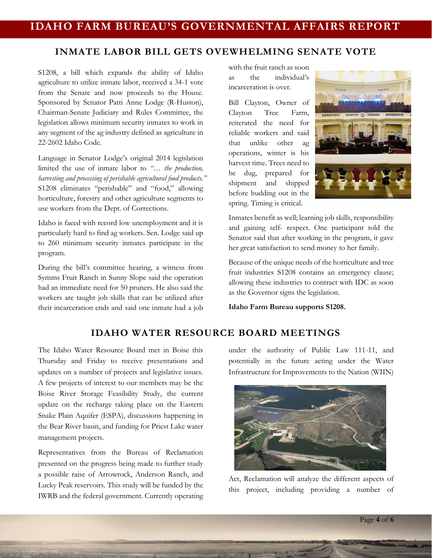## **INMATE LABOR BILL GETS OVEWHELMING SENATE VOTE**

S1208, a bill which expands the ability of Idaho agriculture to utilize inmate labor, received a 34-1 vote from the Senate and now proceeds to the House. Sponsored by Senator Patti Anne Lodge (R-Huston), Chairman-Senate Judiciary and Rules Committee, the legislation allows minimum security inmates to work in any segment of the ag industry defined as agriculture in 22-2602 Idaho Code.

Language in Senator Lodge's original 2014 legislation limited the use of inmate labor to *"… the production, harvesting and processing of perishable agricultural food products."*  S1208 eliminates "perishable" and "food," allowing horticulture, forestry and other agriculture segments to use workers from the Dept. of Corrections.

Idaho is faced with record low unemployment and it is particularly hard to find ag workers. Sen. Lodge said up to 260 minimum security inmates participate in the program.

During the bill's committee hearing, a witness from Symms Fruit Ranch in Sunny Slope said the operation had an immediate need for 50 pruners. He also said the workers are taught job skills that can be utilized after their incarceration ends and said one inmate had a job with the fruit ranch as soon as the individual's incarceration is over.

Bill Clayton, Owner of Clayton Tree Farm, reiterated the need for reliable workers and said that unlike other ag operations, winter is his harvest time. Trees need to be dug, prepared for shipment and shipped before budding out in the spring. Timing is critical.



Inmates benefit as well; learning job skills, responsibility and gaining self- respect. One participant told the Senator said that after working in the program, it gave her great satisfaction to send money to her family.

Because of the unique needs of the horticulture and tree fruit industries S1208 contains an emergency clause; allowing these industries to contract with IDC as soon as the Governor signs the legislation.

**Idaho Farm Bureau supports S1208.** 

## **IDAHO WATER RESOURCE BOARD MEETINGS**

The Idaho Water Resource Board met in Boise this Thursday and Friday to receive presentations and updates on a number of projects and legislative issues. A few projects of interest to our members may be the Boise River Storage Feasibility Study, the current update on the recharge taking place on the Eastern Snake Plain Aquifer (ESPA), discussions happening in the Bear River basin, and funding for Priest Lake water management projects.

Representatives from the Bureau of Reclamation presented on the progress being made to further study a possible raise of Arrowrock, Anderson Ranch, and Lucky Peak reservoirs. This study will be funded by the IWRB and the federal government. Currently operating under the authority of Public Law 111-11, and potentially in the future acting under the Water Infrastructure for Improvements to the Nation (WIIN)



Act, Reclamation will analyze the different aspects of this project, including providing a number of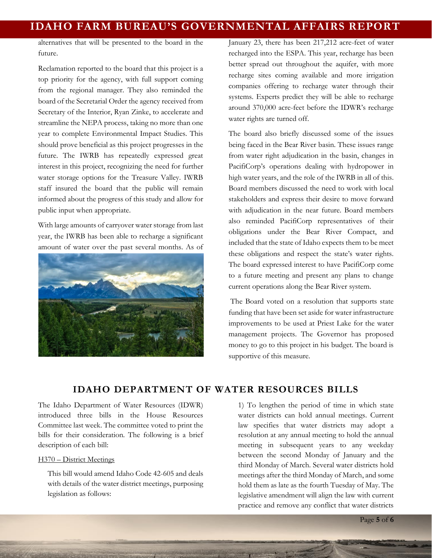alternatives that will be presented to the board in the future.

Reclamation reported to the board that this project is a top priority for the agency, with full support coming from the regional manager. They also reminded the board of the Secretarial Order the agency received from Secretary of the Interior, Ryan Zinke, to accelerate and streamline the NEPA process, taking no more than one year to complete Environmental Impact Studies. This should prove beneficial as this project progresses in the future. The IWRB has repeatedly expressed great interest in this project, recognizing the need for further water storage options for the Treasure Valley. IWRB staff insured the board that the public will remain informed about the progress of this study and allow for public input when appropriate.

With large amounts of carryover water storage from last year, the IWRB has been able to recharge a significant amount of water over the past several months. As of



January 23, there has been 217,212 acre-feet of water recharged into the ESPA. This year, recharge has been better spread out throughout the aquifer, with more recharge sites coming available and more irrigation companies offering to recharge water through their systems. Experts predict they will be able to recharge around 370,000 acre-feet before the IDWR's recharge water rights are turned off.

The board also briefly discussed some of the issues being faced in the Bear River basin. These issues range from water right adjudication in the basin, changes in PacifiCorp's operations dealing with hydropower in high water years, and the role of the IWRB in all of this. Board members discussed the need to work with local stakeholders and express their desire to move forward with adjudication in the near future. Board members also reminded PacifiCorp representatives of their obligations under the Bear River Compact, and included that the state of Idaho expects them to be meet these obligations and respect the state's water rights. The board expressed interest to have PacifiCorp come to a future meeting and present any plans to change current operations along the Bear River system.

The Board voted on a resolution that supports state funding that have been set aside for water infrastructure improvements to be used at Priest Lake for the water management projects. The Governor has proposed money to go to this project in his budget. The board is supportive of this measure.

## **IDAHO DEPARTMENT OF WATER RESOURCES BILLS**

The Idaho Department of Water Resources (IDWR) introduced three bills in the House Resources Committee last week. The committee voted to print the bills for their consideration. The following is a brief description of each bill:

#### H370 – District Meetings

This bill would amend Idaho Code 42-605 and deals with details of the water district meetings, purposing legislation as follows:

1) To lengthen the period of time in which state water districts can hold annual meetings. Current law specifies that water districts may adopt a resolution at any annual meeting to hold the annual meeting in subsequent years to any weekday between the second Monday of January and the third Monday of March. Several water districts hold meetings after the third Monday of March, and some hold them as late as the fourth Tuesday of May. The legislative amendment will align the law with current practice and remove any conflict that water districts